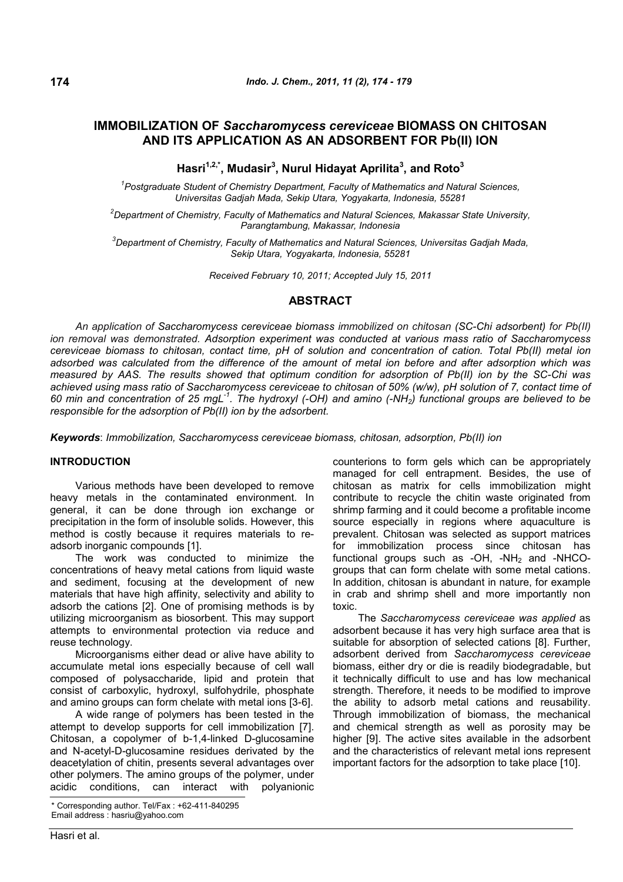# **IMMOBILIZATION OF** *Saccharomycess cereviceae* **BIOMASS ON CHITOSAN AND ITS APPLICATION AS AN ADSORBENT FOR Pb(II) ION**

**Hasri1,2,\*, Mudasir<sup>3</sup> , Nurul Hidayat Aprilita<sup>3</sup> , and Roto<sup>3</sup>**

*1 Postgraduate Student of Chemistry Department, Faculty of Mathematics and Natural Sciences, Universitas Gadjah Mada, Sekip Utara, Yogyakarta, Indonesia, 55281*

*<sup>2</sup>Department of Chemistry, Faculty of Mathematics and Natural Sciences, Makassar State University, Parangtambung, Makassar, Indonesia*

*<sup>3</sup>Department of Chemistry, Faculty of Mathematics and Natural Sciences, Universitas Gadjah Mada, Sekip Utara, Yogyakarta, Indonesia, 55281*

*Received February 10, 2011; Accepted July 15, 2011*

## **ABSTRACT**

*An application of Saccharomycess cereviceae biomass immobilized on chitosan (SC-Chi adsorbent) for Pb(II) ion removal was demonstrated. Adsorption experiment was conducted at various mass ratio of Saccharomycess cereviceae biomass to chitosan, contact time, pH of solution and concentration of cation. Total Pb(II) metal ion adsorbed was calculated from the difference of the amount of metal ion before and after adsorption which was measured by AAS. The results showed that optimum condition for adsorption of Pb(II) ion by the SC-Chi was achieved using mass ratio of Saccharomycess cereviceae to chitosan of 50% (w/w), pH solution of 7, contact time of 60 min and concentration of 25 mgL-1 . The hydroxyl (-OH) and amino (-NH2) functional groups are believed to be responsible for the adsorption of Pb(II) ion by the adsorbent.*

*Keywords*: *Immobilization, Saccharomycess cereviceae biomass, chitosan, adsorption, Pb(II) ion*

## **INTRODUCTION**

Various methods have been developed to remove heavy metals in the contaminated environment. In general, it can be done through ion exchange or precipitation in the form of insoluble solids. However, this method is costly because it requires materials to readsorb inorganic compounds [1].

The work was conducted to minimize the concentrations of heavy metal cations from liquid waste and sediment, focusing at the development of new materials that have high affinity, selectivity and ability to adsorb the cations [2]. One of promising methods is by utilizing microorganism as biosorbent. This may support attempts to environmental protection via reduce and reuse technology.

Microorganisms either dead or alive have ability to accumulate metal ions especially because of cell wall composed of polysaccharide, lipid and protein that consist of carboxylic, hydroxyl, sulfohydrile, phosphate and amino groups can form chelate with metal ions [3-6].

A wide range of polymers has been tested in the attempt to develop supports for cell immobilization [7]. Chitosan, a copolymer of b-1,4-linked D-glucosamine and N-acetyl-D-glucosamine residues derivated by the deacetylation of chitin, presents several advantages over other polymers. The amino groups of the polymer, under acidic conditions, can interact with polyanionic

Corresponding author. Tel/Fax : +62-411-840295 Email address : hasriu@yahoo.com

counterions to form gels which can be appropriately managed for cell entrapment. Besides, the use of chitosan as matrix for cells immobilization might contribute to recycle the chitin waste originated from shrimp farming and it could become a profitable income source especially in regions where aquaculture is prevalent. Chitosan was selected as support matrices for immobilization process since chitosan has functional groups such as  $-MH<sub>2</sub>$  and  $-MHCO$ groups that can form chelate with some metal cations. In addition, chitosan is abundant in nature, for example in crab and shrimp shell and more importantly non toxic.

The *Saccharomycess cereviceae was applied* as adsorbent because it has very high surface area that is suitable for absorption of selected cations [8]. Further, adsorbent derived from *Saccharomycess cereviceae* biomass, either dry or die is readily biodegradable, but it technically difficult to use and has low mechanical strength. Therefore, it needs to be modified to improve the ability to adsorb metal cations and reusability. Through immobilization of biomass, the mechanical and chemical strength as well as porosity may be higher [9]. The active sites available in the adsorbent and the characteristics of relevant metal ions represent important factors for the adsorption to take place [10].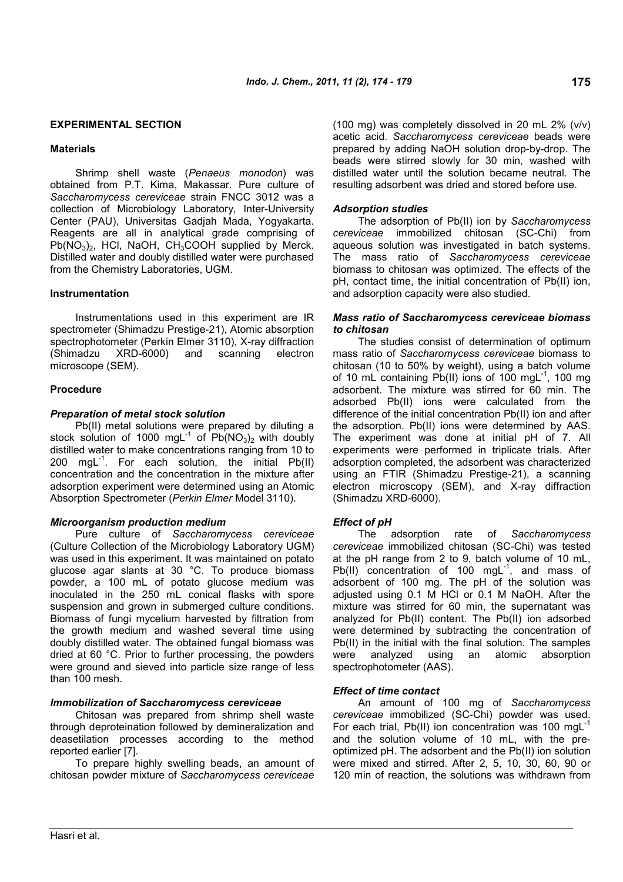## **EXPERIMENTAL SECTION**

## **Materials**

Shrimp shell waste (*Penaeus monodon*) was obtained from P.T. Kima, Makassar. Pure culture of *Saccharomycess cereviceae* strain FNCC 3012 was a collection of Microbiology Laboratory, Inter-University Center (PAU), Universitas Gadjah Mada, Yogyakarta. Reagents are all in analytical grade comprising of  $Pb(NO<sub>3</sub>)<sub>2</sub>$ , HCl, NaOH, CH<sub>3</sub>COOH supplied by Merck. Distilled water and doubly distilled water were purchased from the Chemistry Laboratories, UGM.

## **Instrumentation**

Instrumentations used in this experiment are IR spectrometer (Shimadzu Prestige-21), Atomic absorption spectrophotometer (Perkin Elmer 3110), X-ray diffraction (Shimadzu XRD-6000) and scanning electron microscope (SEM).

## **Procedure**

## *Preparation of metal stock solution*

Pb(II) metal solutions were prepared by diluting a stock solution of 1000 mgL<sup>-1</sup> of  $Pb(NO<sub>3</sub>)<sub>2</sub>$  with doubly distilled water to make concentrations ranging from 10 to 200 mgL $^{-1}$ . For each solution, the initial Pb(II) concentration and the concentration in the mixture after adsorption experiment were determined using an Atomic Absorption Spectrometer (*Perkin Elmer* Model 3110).

## *Microorganism production medium*

Pure culture of *Saccharomycess cereviceae* (Culture Collection of the Microbiology Laboratory UGM) was used in this experiment. It was maintained on potato glucose agar slants at 30 °C. To produce biomass powder, a 100 mL of potato glucose medium was inoculated in the 250 mL conical flasks with spore suspension and grown in submerged culture conditions. Biomass of fungi mycelium harvested by filtration from the growth medium and washed several time using doubly distilled water. The obtained fungal biomass was dried at 60 °C. Prior to further processing, the powders were ground and sieved into particle size range of less than 100 mesh.

#### *Immobilization of Saccharomycess cereviceae*

Chitosan was prepared from shrimp shell waste through deproteination followed by demineralization and deasetilation processes according to the method reported earlier [7].

To prepare highly swelling beads, an amount of chitosan powder mixture of *Saccharomycess cereviceae* (100 mg) was completely dissolved in 20 mL 2% (v/v) acetic acid. *Saccharomycess cereviceae* beads were prepared by adding NaOH solution drop-by-drop. The beads were stirred slowly for 30 min, washed with distilled water until the solution became neutral. The resulting adsorbent was dried and stored before use.

## *Adsorption studies*

The adsorption of Pb(II) ion by *Saccharomycess cereviceae* immobilized chitosan (SC-Chi) from aqueous solution was investigated in batch systems. The mass ratio of *Saccharomycess cereviceae* biomass to chitosan was optimized. The effects of the pH, contact time, the initial concentration of Pb(II) ion, and adsorption capacity were also studied.

## *Mass ratio of Saccharomycess cereviceae biomass to chitosan*

The studies consist of determination of optimum mass ratio of *Saccharomycess cereviceae* biomass to chitosan (10 to 50% by weight), using a batch volume of 10 mL containing Pb(II) ions of 100 mgL<sup>-1</sup>, 100 mg adsorbent. The mixture was stirred for 60 min. The adsorbed Pb(II) ions were calculated from the difference of the initial concentration Pb(II) ion and after the adsorption. Pb(II) ions were determined by AAS. The experiment was done at initial pH of 7. All experiments were performed in triplicate trials. After adsorption completed, the adsorbent was characterized using an FTIR (Shimadzu Prestige-21), a scanning electron microscopy (SEM), and X-ray diffraction (Shimadzu XRD-6000).

#### *Effect of pH*

The adsorption rate of *Saccharomycess cereviceae* immobilized chitosan (SC-Chi) was tested at the pH range from 2 to 9, batch volume of 10 mL, Pb(II) concentration of 100 mgL<sup>-1</sup>, and mass of adsorbent of 100 mg. The pH of the solution was adjusted using 0.1 M HCl or 0.1 M NaOH. After the mixture was stirred for 60 min, the supernatant was analyzed for Pb(II) content. The Pb(II) ion adsorbed were determined by subtracting the concentration of Pb(II) in the initial with the final solution. The samples were analyzed using an atomic absorption spectrophotometer (AAS).

#### *Effect of time contact*

An amount of 100 mg of *Saccharomycess cereviceae* immobilized (SC-Chi) powder was used. For each trial, Pb(II) ion concentration was 100 mgL<sup>-1</sup> and the solution volume of 10 mL, with the preoptimized pH. The adsorbent and the Pb(II) ion solution were mixed and stirred. After 2, 5, 10, 30, 60, 90 or 120 min of reaction, the solutions was withdrawn from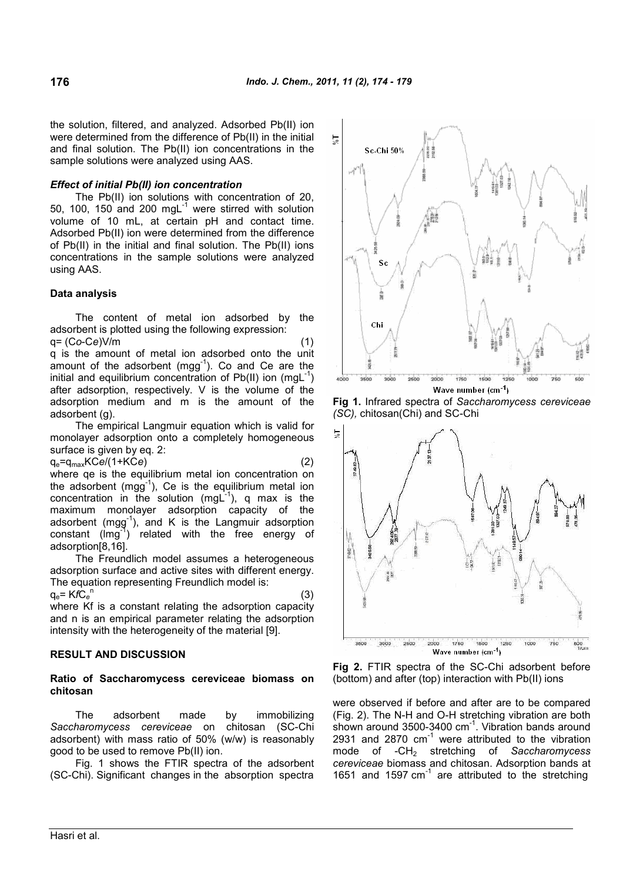the solution, filtered, and analyzed. Adsorbed Pb(II) ion were determined from the difference of Pb(II) in the initial and final solution. The Pb(II) ion concentrations in the sample solutions were analyzed using AAS.

## *Effect of initial Pb(II) ion concentration*

The Pb(II) ion solutions with concentration of 20, 50, 100, 150 and 200 mg $L^{-1}$  were stirred with solution volume of 10 mL, at certain pH and contact time. Adsorbed Pb(II) ion were determined from the difference of Pb(II) in the initial and final solution. The Pb(II) ions concentrations in the sample solutions were analyzed using AAS.

## **Data analysis**

The content of metal ion adsorbed by the adsorbent is plotted using the following expression: q= (C*o*-C*e*)V/m (1)

q is the amount of metal ion adsorbed onto the unit amount of the adsorbent (mgg $^{-1}$ ). Co and Ce are the initial and equilibrium concentration of Pb(II) ion (mgL<sup>-1</sup>) after adsorption, respectively. V is the volume of the adsorption medium and m is the amount of the adsorbent (g).

The empirical Langmuir equation which is valid for monolayer adsorption onto a completely homogeneous surface is given by eq. 2:

$$
q_e = q_{max} KCe/(1+KCe)
$$
 (2)

where qe is the equilibrium metal ion concentration on the adsorbent (mgg<sup>-1</sup>), Ce is the equilibrium metal ion concentration in the solution (mgL $^{-1}$ ), q max is the maximum monolayer adsorption capacity of the adsorbent (mgg-1 ), and K is the Langmuir adsorption  $constant$  ( $\text{Img}^3$ ) related with the free energy of adsorption[8,16].

The Freundlich model assumes a heterogeneous adsorption surface and active sites with different energy. The equation representing Freundlich model is:

qe= K*f*C*<sup>e</sup>* n (3) where Kf is a constant relating the adsorption capacity and n is an empirical parameter relating the adsorption intensity with the heterogeneity of the material [9].

## **RESULT AND DISCUSSION**

## **Ratio of Saccharomycess cereviceae biomass on chitosan**

The adsorbent made by immobilizing *Saccharomycess cereviceae* on chitosan (SC-Chi adsorbent) with mass ratio of 50% (w/w) is reasonably good to be used to remove Pb(II) ion.

Fig. 1 shows the FTIR spectra of the adsorbent (SC-Chi). Significant changes in the absorption spectra



**Fig 1.** Infrared spectra of *Saccharomycess cereviceae (SC),* chitosan(Chi) and SC-Chi



**Fig 2.** FTIR spectra of the SC-Chi adsorbent before (bottom) and after (top) interaction with Pb(II) ions

were observed if before and after are to be compared (Fig. 2). The N-H and O-H stretching vibration are both shown around 3500-3400 cm<sup>-1</sup>. Vibration bands around 2931 and  $2870$   $cm^{-1}$  were attributed to the vibration mode of -CH<sup>2</sup> stretching of *Saccharomycess cereviceae* biomass and chitosan. Adsorption bands at 1651 and 1597  $cm^{-1}$  are attributed to the stretching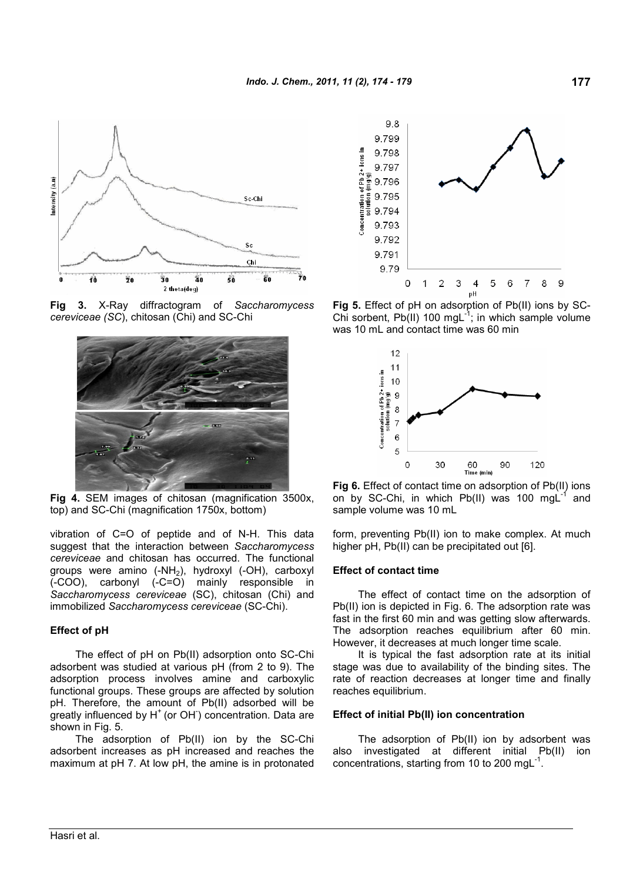

**Fig 3.** X-Ray diffractogram of *Saccharomycess cereviceae (SC*), chitosan (Chi) and SC-Chi



**Fig 4.** SEM images of chitosan (magnification 3500x, top) and SC-Chi (magnification 1750x, bottom)

vibration of C=O of peptide and of N-H. This data suggest that the interaction between *Saccharomycess cereviceae* and chitosan has occurred. The functional groups were amino (-NH<sub>2</sub>), hydroxyl (-OH), carboxyl (-COO), carbonyl (-C=O) mainly responsible in *Saccharomycess cereviceae* (SC), chitosan (Chi) and immobilized *Saccharomycess cereviceae* (SC-Chi).

## **Effect of pH**

The effect of pH on Pb(II) adsorption onto SC-Chi adsorbent was studied at various pH (from 2 to 9). The adsorption process involves amine and carboxylic functional groups. These groups are affected by solution pH. Therefore, the amount of Pb(II) adsorbed will be .<br>greatly influenced by H<sup>+</sup> (or OH<sup>-</sup>) concentration. Data are shown in Fig. 5.

The adsorption of Pb(II) ion by the SC-Chi adsorbent increases as pH increased and reaches the maximum at pH 7. At low pH, the amine is in protonated



**Fig 5.** Effect of pH on adsorption of Pb(II) ions by SC-Chi sorbent, Pb(II) 100 mgL $^{-1}$ ; in which sample volume was 10 mL and contact time was 60 min



**Fig 6.** Effect of contact time on adsorption of Pb(II) ions on by SC-Chi, in which Pb(II) was 100 mgL<sup>-1</sup>  $1$  and sample volume was 10 mL

form, preventing Pb(II) ion to make complex. At much higher pH, Pb(II) can be precipitated out [6].

### **Effect of contact time**

The effect of contact time on the adsorption of Pb(II) ion is depicted in Fig. 6. The adsorption rate was fast in the first 60 min and was getting slow afterwards. The adsorption reaches equilibrium after 60 min. However, it decreases at much longer time scale.

It is typical the fast adsorption rate at its initial stage was due to availability of the binding sites. The rate of reaction decreases at longer time and finally reaches equilibrium.

## **Effect of initial Pb(II) ion concentration**

The adsorption of Pb(II) ion by adsorbent was also investigated at different initial Pb(II) ion concentrations, starting from 10 to 200 mg $L^{-1}$ .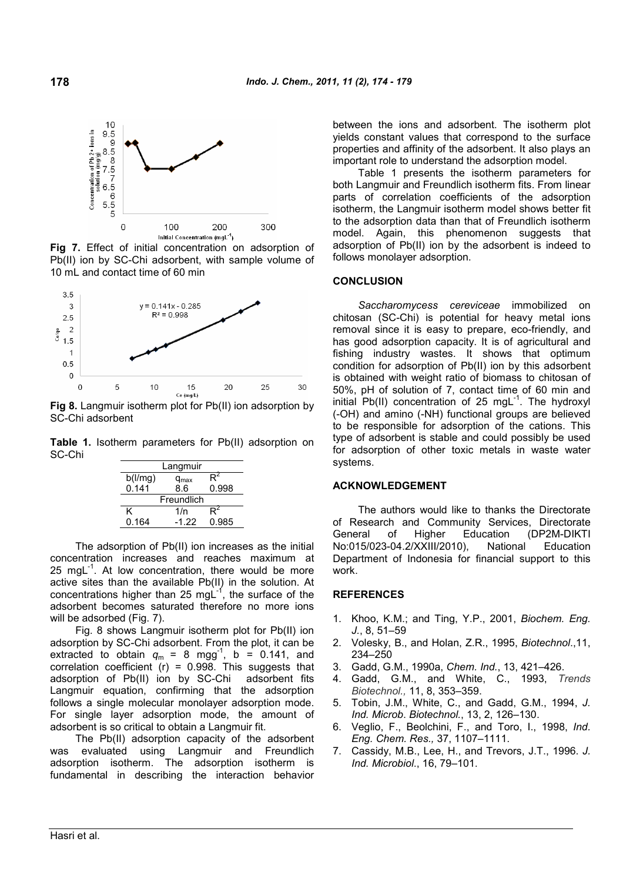

**Fig 7.** Effect of initial concentration on adsorption of Pb(II) ion by SC-Chi adsorbent, with sample volume of 10 mL and contact time of 60 min



**Fig 8.** Langmuir isotherm plot for Pb(II) ion adsorption by SC-Chi adsorbent

**Table 1.** Isotherm parameters for Pb(II) adsorption on SC-Chi

| Langmuir   |               |       |
|------------|---------------|-------|
| b(1/mg)    | $q_{\sf max}$ |       |
| 0.141      | 8.6           | 0.998 |
| Freundlich |               |       |
| ĸ          | 1/n           |       |
| 0.164      | $-1.22$       | 0.985 |

The adsorption of Pb(II) ion increases as the initial concentration increases and reaches maximum at 25 mgL $^{-1}$ . At low concentration, there would be more active sites than the available Pb(II) in the solution. At concentrations higher than 25 mgL $^{-1}$ , the surface of the adsorbent becomes saturated therefore no more ions will be adsorbed (Fig. 7).

Fig. 8 shows Langmuir isotherm plot for Pb(II) ion adsorption by SC-Chi adsorbent. From the plot, it can be extracted to obtain  $q_m = 8$  mgg<sup>-1</sup>, b = 0.141, and correlation coefficient  $(r)$  = 0.998. This suggests that adsorption of Pb(II) ion by SC-Chi adsorbent fits Langmuir equation, confirming that the adsorption follows a single molecular monolayer adsorption mode. For single layer adsorption mode, the amount of adsorbent is so critical to obtain a Langmuir fit.

The Pb(II) adsorption capacity of the adsorbent was evaluated using Langmuir and Freundlich adsorption isotherm. The adsorption isotherm is fundamental in describing the interaction behavior between the ions and adsorbent. The isotherm plot yields constant values that correspond to the surface properties and affinity of the adsorbent. It also plays an important role to understand the adsorption model.

Table 1 presents the isotherm parameters for both Langmuir and Freundlich isotherm fits. From linear parts of correlation coefficients of the adsorption isotherm, the Langmuir isotherm model shows better fit to the adsorption data than that of Freundlich isotherm model. Again, this phenomenon suggests that adsorption of Pb(II) ion by the adsorbent is indeed to follows monolayer adsorption.

## **CONCLUSION**

*Saccharomycess cereviceae* immobilized on chitosan (SC-Chi) is potential for heavy metal ions removal since it is easy to prepare, eco-friendly, and has good adsorption capacity. It is of agricultural and fishing industry wastes. It shows that optimum condition for adsorption of Pb(II) ion by this adsorbent is obtained with weight ratio of biomass to chitosan of 50%, pH of solution of 7, contact time of 60 min and initial  $Pb(II)$  concentration of 25 mgL<sup>-1</sup>. The hydroxyl (-OH) and amino (-NH) functional groups are believed to be responsible for adsorption of the cations. This type of adsorbent is stable and could possibly be used for adsorption of other toxic metals in waste water systems.

## **ACKNOWLEDGEMENT**

The authors would like to thanks the Directorate of Research and Community Services, Directorate General of Higher Education (DP2M-DIKTI No:015/023-04.2/XXIII/2010), National Education Department of Indonesia for financial support to this work.

## **REFERENCES**

- 1. Khoo, K.M.; and Ting, Y.P., 2001, *Biochem. Eng. J.*, 8, 51–59
- 2. Volesky, B., and Holan, Z.R., 1995, *Biotechnol*.,11, 234–250
- 3. Gadd, G.M., 1990a, *Chem. Ind.*, 13, 421–426.
- 4. Gadd, G.M., and White, C., 1993, *Trends Biotechnol.,* 11, 8, 353–359.
- 5. Tobin, J.M., White, C., and Gadd, G.M., 1994, *J. Ind. Microb*. *Biotechnol.*, 13, 2, 126–130.
- 6. Veglio, F., Beolchini, F., and Toro, I., 1998, *Ind. Eng. Chem. Res.,* 37, 1107–1111.
- 7. Cassidy, M.B., Lee, H., and Trevors, J.T., 1996. *J. Ind. Microbiol*., 16, 79–101.